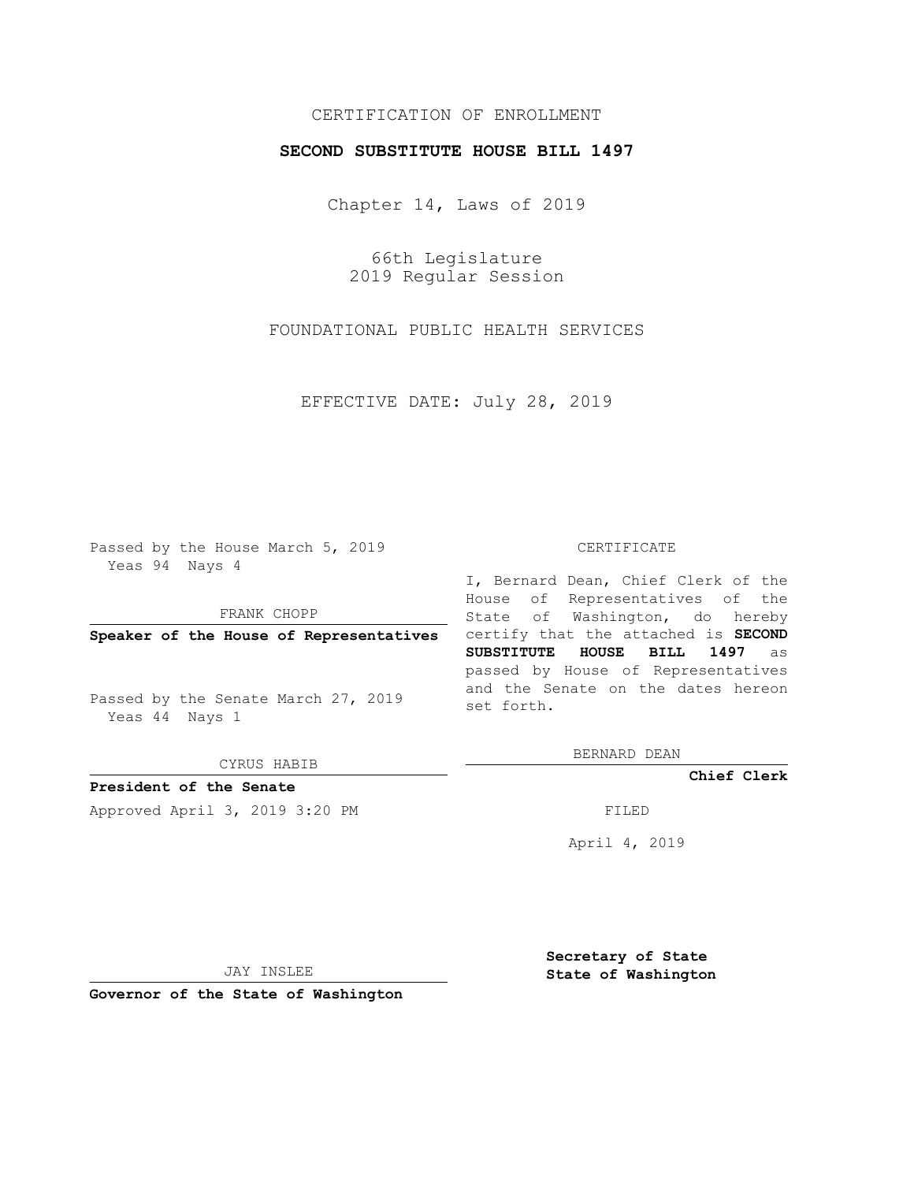## CERTIFICATION OF ENROLLMENT

## **SECOND SUBSTITUTE HOUSE BILL 1497**

Chapter 14, Laws of 2019

66th Legislature 2019 Regular Session

FOUNDATIONAL PUBLIC HEALTH SERVICES

EFFECTIVE DATE: July 28, 2019

Passed by the House March 5, 2019 Yeas 94 Nays 4

FRANK CHOPP

Passed by the Senate March 27, 2019 Yeas 44 Nays 1

CYRUS HABIB

**President of the Senate**

Approved April 3, 2019 3:20 PM FILED

## CERTIFICATE

**Speaker of the House of Representatives** certify that the attached is **SECOND** I, Bernard Dean, Chief Clerk of the House of Representatives of the State of Washington, do hereby **SUBSTITUTE HOUSE BILL 1497** as passed by House of Representatives and the Senate on the dates hereon set forth.

BERNARD DEAN

**Chief Clerk**

April 4, 2019

JAY INSLEE

**Governor of the State of Washington**

**Secretary of State State of Washington**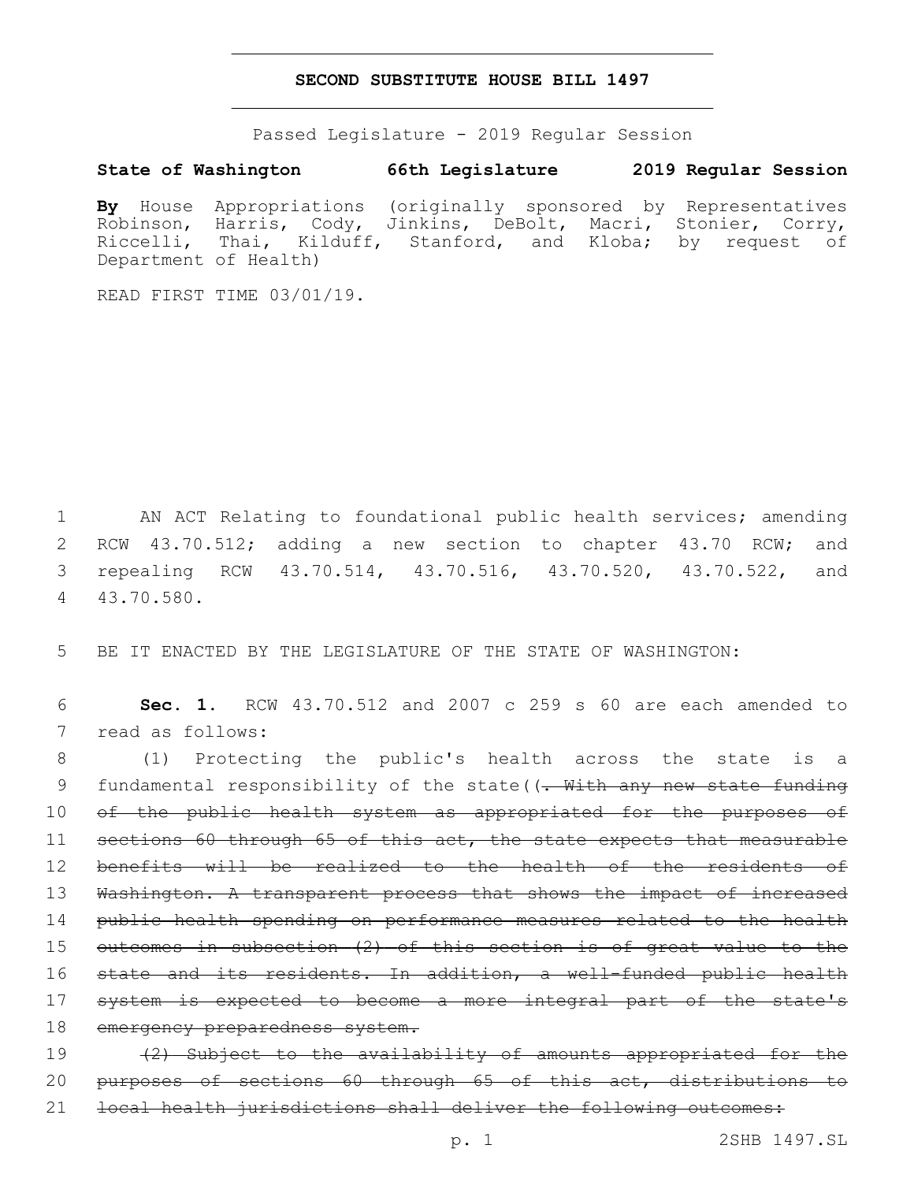## **SECOND SUBSTITUTE HOUSE BILL 1497**

Passed Legislature - 2019 Regular Session

**State of Washington 66th Legislature 2019 Regular Session**

**By** House Appropriations (originally sponsored by Representatives Robinson, Harris, Cody, Jinkins, DeBolt, Macri, Stonier, Corry, Riccelli, Thai, Kilduff, Stanford, and Kloba; by request of Department of Health)

READ FIRST TIME 03/01/19.

 AN ACT Relating to foundational public health services; amending RCW 43.70.512; adding a new section to chapter 43.70 RCW; and repealing RCW 43.70.514, 43.70.516, 43.70.520, 43.70.522, and 43.70.580.4

5 BE IT ENACTED BY THE LEGISLATURE OF THE STATE OF WASHINGTON:

6 **Sec. 1.** RCW 43.70.512 and 2007 c 259 s 60 are each amended to 7 read as follows:

8 (1) Protecting the public's health across the state is a 9 fundamental responsibility of the state((. With any new state funding 10 of the public health system as appropriated for the purposes of 11 sections 60 through 65 of this act, the state expects that measurable 12 benefits will be realized to the health of the residents of 13 Washington. A transparent process that shows the impact of increased 14 public health spending on performance measures related to the health 15 outcomes in subsection (2) of this section is of great value to the 16 state and its residents. In addition, a well-funded public health 17 system is expected to become a more integral part of the state's 18 emergency preparedness system. 19 (2) Subject to the availability of amounts appropriated for the

20 purposes of sections 60 through 65 of this act, distributions to

21 local health jurisdictions shall deliver the following outcomes: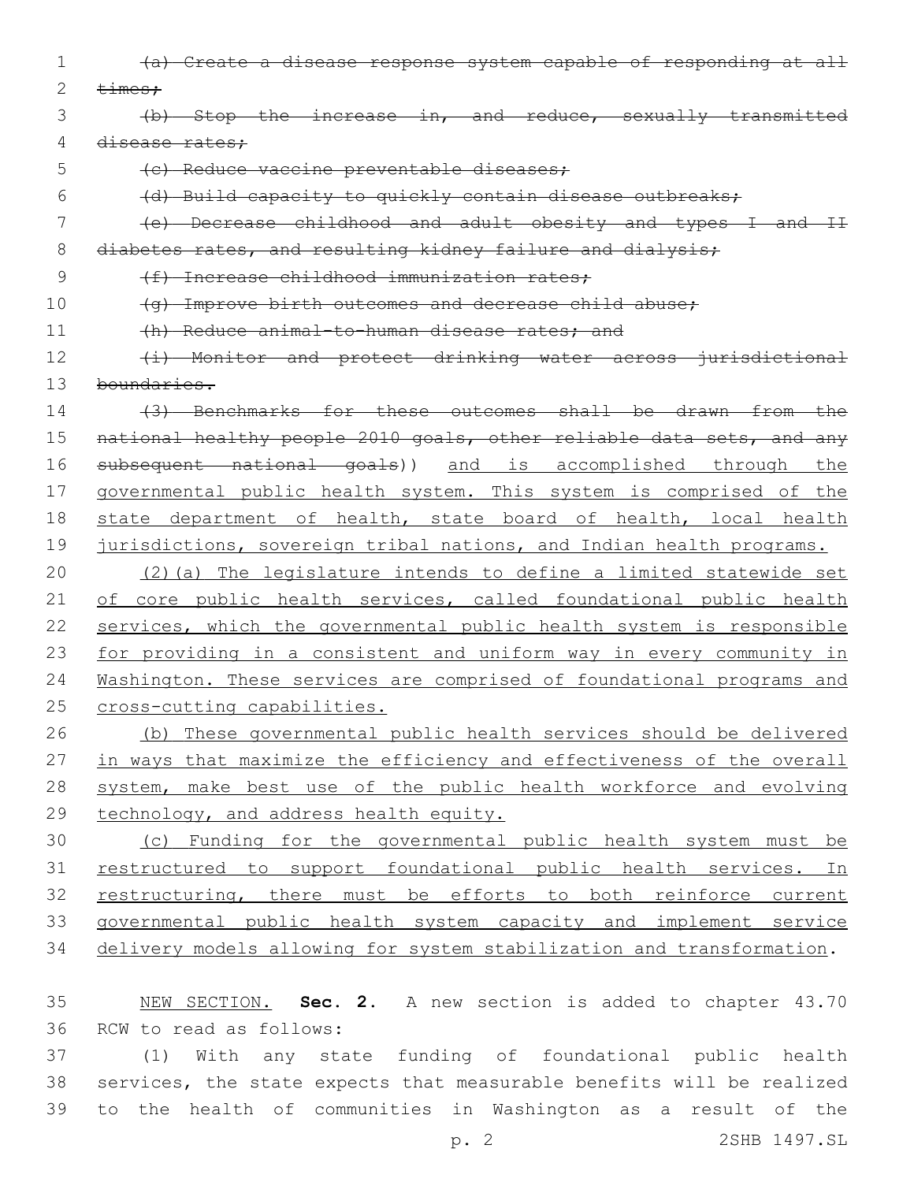(a) Create a disease response system capable of responding at all  $\times$   $\times$  (b) Stop the increase in, and reduce, sexually transmitted 4 disease rates: 5 (c) Reduce vaccine preventable diseases; (d) Build capacity to quickly contain disease outbreaks; (e) Decrease childhood and adult obesity and types I and II 8 diabetes rates, and resulting kidney failure and dialysis; 9 (f) Increase childhood immunization rates; 10 (g) Improve birth outcomes and decrease child abuse; 11 (h) Reduce animal-to-human disease rates; and 12 (i) Monitor and protect drinking water across jurisdictional boundaries. (3) Benchmarks for these outcomes shall be drawn from the 15 national healthy people 2010 goals, other reliable data sets, and any subsequent national goals)) and is accomplished through the governmental public health system. This system is comprised of the state department of health, state board of health, local health 19 jurisdictions, sovereign tribal nations, and Indian health programs. (2)(a) The legislature intends to define a limited statewide set 21 of core public health services, called foundational public health services, which the governmental public health system is responsible for providing in a consistent and uniform way in every community in Washington. These services are comprised of foundational programs and cross-cutting capabilities. (b) These governmental public health services should be delivered 27 in ways that maximize the efficiency and effectiveness of the overall system, make best use of the public health workforce and evolving technology, and address health equity. (c) Funding for the governmental public health system must be restructured to support foundational public health services. In 32 restructuring, there must be efforts to both reinforce current governmental public health system capacity and implement service delivery models allowing for system stabilization and transformation. NEW SECTION. **Sec. 2.** A new section is added to chapter 43.70 36 RCW to read as follows:

 (1) With any state funding of foundational public health services, the state expects that measurable benefits will be realized to the health of communities in Washington as a result of the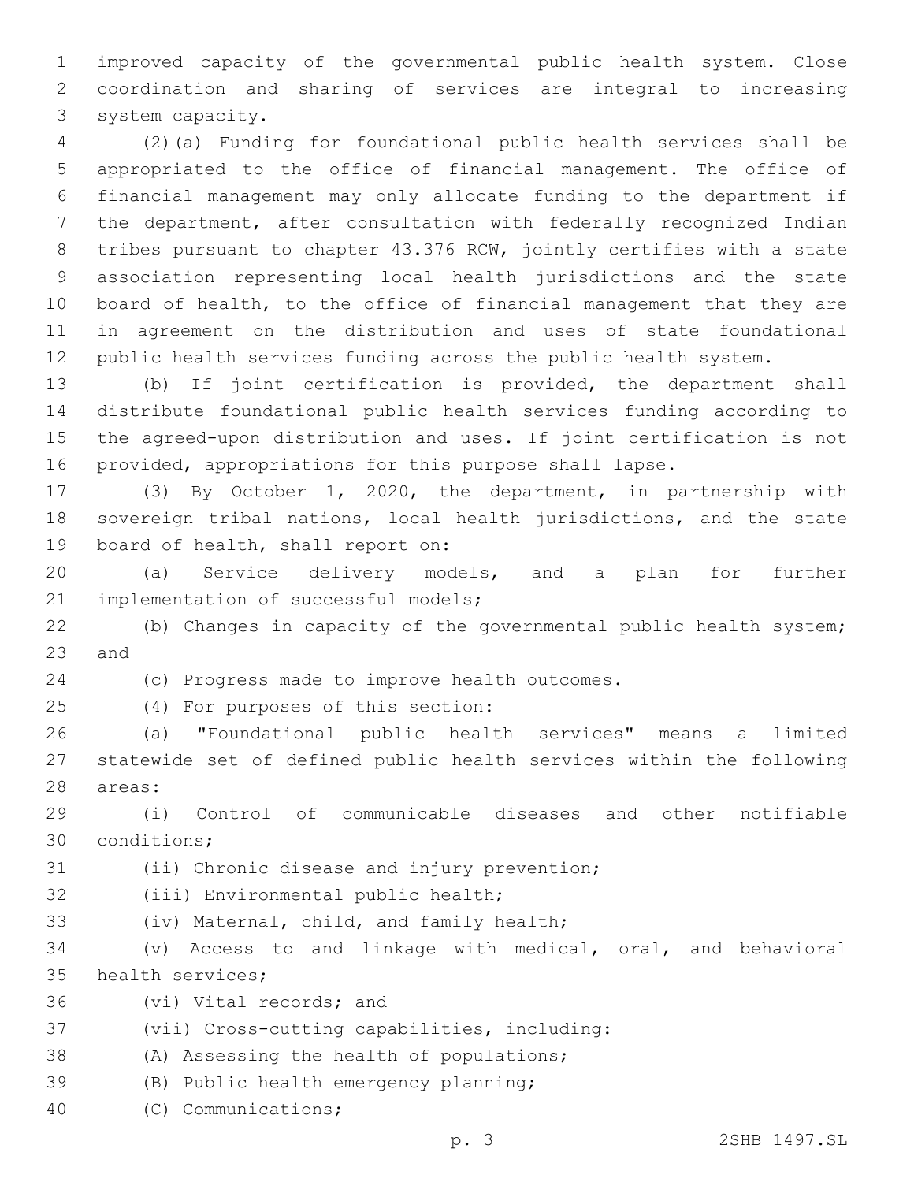1 improved capacity of the governmental public health system. Close 2 coordination and sharing of services are integral to increasing 3 system capacity.

 (2)(a) Funding for foundational public health services shall be appropriated to the office of financial management. The office of financial management may only allocate funding to the department if the department, after consultation with federally recognized Indian tribes pursuant to chapter 43.376 RCW, jointly certifies with a state association representing local health jurisdictions and the state board of health, to the office of financial management that they are in agreement on the distribution and uses of state foundational public health services funding across the public health system.

 (b) If joint certification is provided, the department shall distribute foundational public health services funding according to the agreed-upon distribution and uses. If joint certification is not provided, appropriations for this purpose shall lapse.

17 (3) By October 1, 2020, the department, in partnership with 18 sovereign tribal nations, local health jurisdictions, and the state 19 board of health, shall report on:

20 (a) Service delivery models, and a plan for further 21 implementation of successful models;

22 (b) Changes in capacity of the governmental public health system; 23 and

24 (c) Progress made to improve health outcomes.

(4) For purposes of this section:25

26 (a) "Foundational public health services" means a limited 27 statewide set of defined public health services within the following 28 areas:

29 (i) Control of communicable diseases and other notifiable 30 conditions;

31 (ii) Chronic disease and injury prevention;

32 (iii) Environmental public health;

33 (iv) Maternal, child, and family health;

34 (v) Access to and linkage with medical, oral, and behavioral 35 health services;

36 (vi) Vital records; and

37 (vii) Cross-cutting capabilities, including:

38 (A) Assessing the health of populations;

39 (B) Public health emergency planning;

(C) Communications;40